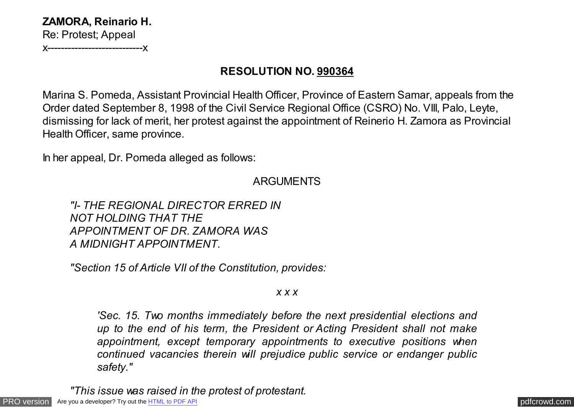**ZAMORA, Reinario H.** Re: Protest; Appeal

x----------------------------x

## **RESOLUTION NO. 990364**

Marina S. Pomeda, Assistant Provincial Health Officer, Province of Eastern Samar, appeals from the Order dated September 8, 1998 of the Civil Service Regional Office (CSRO) No. VIII, Palo, Leyte, dismissing for lack of merit, her protest against the appointment of Reinerio H. Zamora as Provincial Health Officer, same province.

In her appeal, Dr. Pomeda alleged as follows:

## ARGUMENTS

*"I- THE REGIONAL DIRECTOR ERRED IN NOT HOLDING THAT THE APPOINTMENT OF DR. ZAMORA WAS A MIDNIGHT APPOINTMENT.*

*"Section 15 of Article VII of the Constitution, provides:*

## *x x x*

*'Sec. 15. Two months immediately before the next presidential elections and up to the end of his term, the President or Acting President shall not make appointment, except temporary appointments to executive positions when continued vacancies therein will prejudice public service or endanger public safety."*

*"This issue was raised in the protest of protestant.*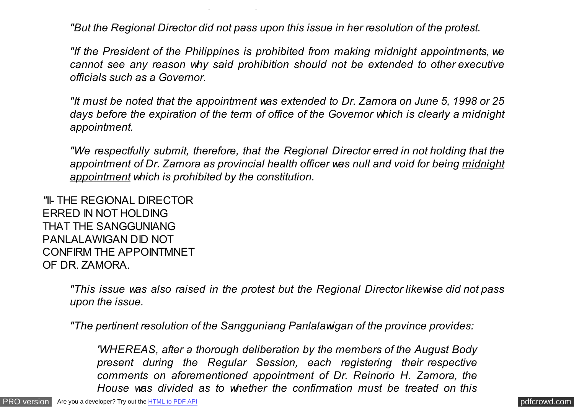*"But the Regional Director did not pass upon this issue in her resolution of the protest.*

*"This issue was raised in the protest of protestant.*

*"If the President of the Philippines is prohibited from making midnight appointments, we cannot see any reason why said prohibition should not be extended to other executive officials such as a Governor.*

*"It must be noted that the appointment was extended to Dr. Zamora on June 5, 1998 or 25 days before the expiration of the term of office of the Governor which is clearly a midnight appointment.*

*"We respectfully submit, therefore, that the Regional Director erred in not holding that the appointment of Dr. Zamora as provincial health officer was null and void for being midnight appointment which is prohibited by the constitution.*

*"*II- THE REGIONAL DIRECTOR ERRED IN NOT HOLDING THAT THE SANGGUNIANG PANLALAWIGAN DID NOT CONFIRM THE APPOINTMNET OF DR. ZAMORA.

> *"This issue was also raised in the protest but the Regional Director likewise did not pass upon the issue.*

*"The pertinent resolution of the Sangguniang Panlalawigan of the province provides:*

*'WHEREAS, after a thorough deliberation by the members of the August Body present during the Regular Session, each registering their respective comments on aforementioned appointment of Dr. Reinorio H. Zamora, the House was divided as to whether the confirmation must be treated on this*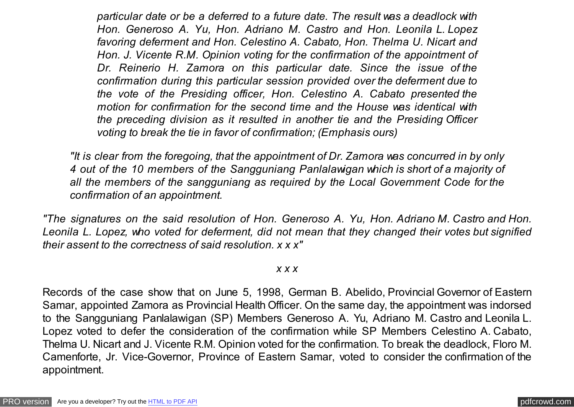*particular date or be a deferred to a future date. The result was a deadlock with Hon. Generoso A. Yu, Hon. Adriano M. Castro and Hon. Leonila L. Lopez favoring deferment and Hon. Celestino A. Cabato, Hon. Thelma U. Nicart and Hon. J. Vicente R.M. Opinion voting for the confirmation of the appointment of Dr. Reinerio H. Zamora on this particular date. Since the issue of the confirmation during this particular session provided over the deferment due to the vote of the Presiding officer, Hon. Celestino A. Cabato presented the motion for confirmation for the second time and the House was identical with the preceding division as it resulted in another tie and the Presiding Officer voting to break the tie in favor of confirmation; (Emphasis ours)*

*"It is clear from the foregoing, that the appointment of Dr. Zamora was concurred in by only 4 out of the 10 members of the Sangguniang Panlalawigan which is short of a majority of all the members of the sangguniang as required by the Local Government Code for the confirmation of an appointment.*

*"The signatures on the said resolution of Hon. Generoso A. Yu, Hon. Adriano M. Castro and Hon. Leonila L. Lopez, who voted for deferment, did not mean that they changed their votes but signified their assent to the correctness of said resolution. x x x"*

*x x x*

Records of the case show that on June 5, 1998, German B. Abelido, Provincial Governor of Eastern Samar, appointed Zamora as Provincial Health Officer. On the same day, the appointment was indorsed to the Sangguniang Panlalawigan (SP) Members Generoso A. Yu, Adriano M. Castro and Leonila L. Lopez voted to defer the consideration of the confirmation while SP Members Celestino A. Cabato, Thelma U. Nicart and J. Vicente R.M. Opinion voted for the confirmation. To break the deadlock, Floro M. Camenforte, Jr. Vice-Governor, Province of Eastern Samar, voted to consider the confirmation of the appointment.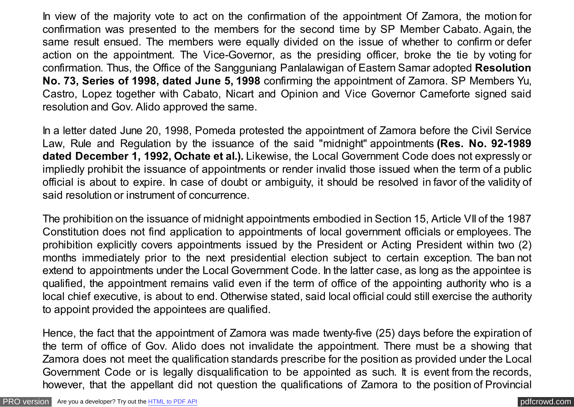In view of the majority vote to act on the confirmation of the appointment Of Zamora, the motion for confirmation was presented to the members for the second time by SP Member Cabato. Again, the same result ensued. The members were equally divided on the issue of whether to confirm or defer action on the appointment. The Vice-Governor, as the presiding officer, broke the tie by voting for confirmation. Thus, the Office of the Sangguniang Panlalawigan of Eastern Samar adopted **Resolution No. 73, Series of 1998, dated June 5, 1998** confirming the appointment of Zamora. SP Members Yu, Castro, Lopez together with Cabato, Nicart and Opinion and Vice Governor Cameforte signed said resolution and Gov. Alido approved the same.

In a letter dated June 20, 1998, Pomeda protested the appointment of Zamora before the Civil Service Law, Rule and Regulation by the issuance of the said "midnight" appointments **(Res. No. 92-1989 dated December 1, 1992, Ochate et al.).** Likewise, the Local Government Code does not expressly or impliedly prohibit the issuance of appointments or render invalid those issued when the term of a public official is about to expire. In case of doubt or ambiguity, it should be resolved in favor of the validity of said resolution or instrument of concurrence.

The prohibition on the issuance of midnight appointments embodied in Section 15, Article VII of the 1987 Constitution does not find application to appointments of local government officials or employees. The prohibition explicitly covers appointments issued by the President or Acting President within two (2) months immediately prior to the next presidential election subject to certain exception. The ban not extend to appointments under the Local Government Code. In the latter case, as long as the appointee is qualified, the appointment remains valid even if the term of office of the appointing authority who is a local chief executive, is about to end. Otherwise stated, said local official could still exercise the authority to appoint provided the appointees are qualified.

Hence, the fact that the appointment of Zamora was made twenty-five (25) days before the expiration of the term of office of Gov. Alido does not invalidate the appointment. There must be a showing that Zamora does not meet the qualification standards prescribe for the position as provided under the Local Government Code or is legally disqualification to be appointed as such. It is event from the records, however, that the appellant did not question the qualifications of Zamora to the position of Provincial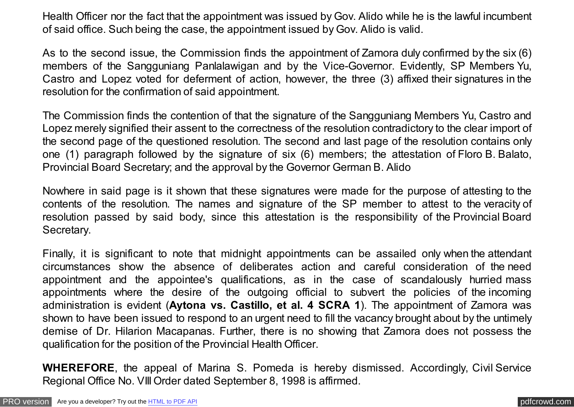Health Officer nor the fact that the appointment was issued by Gov. Alido while he is the lawful incumbent of said office. Such being the case, the appointment issued by Gov. Alido is valid.

As to the second issue, the Commission finds the appointment of Zamora duly confirmed by the six (6) members of the Sangguniang Panlalawigan and by the Vice-Governor. Evidently, SP Members Yu, Castro and Lopez voted for deferment of action, however, the three (3) affixed their signatures in the resolution for the confirmation of said appointment.

The Commission finds the contention of that the signature of the Sangguniang Members Yu, Castro and Lopez merely signified their assent to the correctness of the resolution contradictory to the clear import of the second page of the questioned resolution. The second and last page of the resolution contains only one (1) paragraph followed by the signature of six (6) members; the attestation of Floro B. Balato, Provincial Board Secretary; and the approval by the Governor German B. Alido

Nowhere in said page is it shown that these signatures were made for the purpose of attesting to the contents of the resolution. The names and signature of the SP member to attest to the veracity of resolution passed by said body, since this attestation is the responsibility of the Provincial Board Secretary.

Finally, it is significant to note that midnight appointments can be assailed only when the attendant circumstances show the absence of deliberates action and careful consideration of the need appointment and the appointee's qualifications, as in the case of scandalously hurried mass appointments where the desire of the outgoing official to subvert the policies of the incoming administration is evident (**Aytona vs. Castillo, et al. 4 SCRA 1**). The appointment of Zamora was shown to have been issued to respond to an urgent need to fill the vacancy brought about by the untimely demise of Dr. Hilarion Macapanas. Further, there is no showing that Zamora does not possess the qualification for the position of the Provincial Health Officer.

**WHEREFORE**, the appeal of Marina S. Pomeda is hereby dismissed. Accordingly, Civil Service Regional Office No. VIII Order dated September 8, 1998 is affirmed.